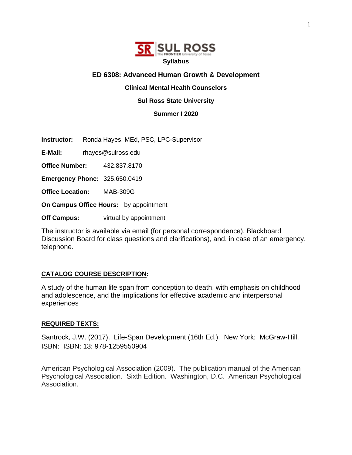

## **ED 6308: Advanced Human Growth & Development**

## **Clinical Mental Health Counselors**

## **Sul Ross State University**

**Summer I 2020**

**Instructor:** Ronda Hayes, MEd, PSC, LPC-Supervisor

**E-Mail:** rhayes@sulross.edu

**Office Number:** 432.837.8170

**Emergency Phone:** 325.650.0419

**Office Location:** MAB-309G

**On Campus Office Hours:** by appointment

**Off Campus:** virtual by appointment

The instructor is available via email (for personal correspondence), Blackboard Discussion Board for class questions and clarifications), and, in case of an emergency, telephone.

## **CATALOG COURSE DESCRIPTION:**

A study of the human life span from conception to death, with emphasis on childhood and adolescence, and the implications for effective academic and interpersonal experiences

## **REQUIRED TEXTS:**

Santrock, J.W. (2017). Life-Span Development (16th Ed.). New York: McGraw-Hill. ISBN: ISBN: 13: 978-1259550904

American Psychological Association (2009). The publication manual of the American Psychological Association. Sixth Edition. Washington, D.C. American Psychological Association.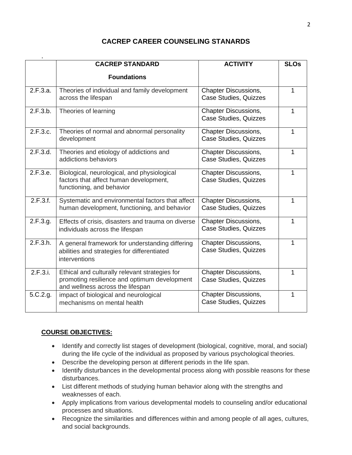# **CACREP CAREER COUNSELING STANARDS**

|          | <b>CACREP STANDARD</b>                                                                                                             | <b>ACTIVITY</b>                                             | <b>SLOs</b> |
|----------|------------------------------------------------------------------------------------------------------------------------------------|-------------------------------------------------------------|-------------|
|          | <b>Foundations</b>                                                                                                                 |                                                             |             |
| 2.F.3.a. | Theories of individual and family development<br>across the lifespan                                                               | <b>Chapter Discussions,</b><br><b>Case Studies, Quizzes</b> | 1           |
| 2.F.3.b. | Theories of learning                                                                                                               | <b>Chapter Discussions,</b><br><b>Case Studies, Quizzes</b> | 1           |
| 2.F.3.c. | Theories of normal and abnormal personality<br>development                                                                         | <b>Chapter Discussions,</b><br><b>Case Studies, Quizzes</b> | 1           |
| 2.F.3.d. | Theories and etiology of addictions and<br>addictions behaviors                                                                    | <b>Chapter Discussions,</b><br>Case Studies, Quizzes        | 1           |
| 2.F.3.e. | Biological, neurological, and physiological<br>factors that affect human development,<br>functioning, and behavior                 | <b>Chapter Discussions,</b><br><b>Case Studies, Quizzes</b> | 1           |
| 2.F.3.f. | Systematic and environmental factors that affect<br>human development, functioning, and behavior                                   | <b>Chapter Discussions,</b><br>Case Studies, Quizzes        | 1           |
| 2.F.3.g. | Effects of crisis, disasters and trauma on diverse<br>individuals across the lifespan                                              | <b>Chapter Discussions,</b><br><b>Case Studies, Quizzes</b> |             |
| 2.F.3.h. | A general framework for understanding differing<br>abilities and strategies for differentiated<br>interventions                    | <b>Chapter Discussions,</b><br>Case Studies, Quizzes        |             |
| 2.F.3.i. | Ethical and culturally relevant strategies for<br>promoting resilience and optimum development<br>and wellness across the lifespan | <b>Chapter Discussions,</b><br>Case Studies, Quizzes        | 1           |
| 5.C.2.g. | impact of biological and neurological<br>mechanisms on mental health                                                               | <b>Chapter Discussions,</b><br>Case Studies, Quizzes        | 1           |

# **COURSE OBJECTIVES:**

- Identify and correctly list stages of development (biological, cognitive, moral, and social) during the life cycle of the individual as proposed by various psychological theories.
- Describe the developing person at different periods in the life span.
- Identify disturbances in the developmental process along with possible reasons for these disturbances.
- List different methods of studying human behavior along with the strengths and weaknesses of each.
- Apply implications from various developmental models to counseling and/or educational processes and situations.
- Recognize the similarities and differences within and among people of all ages, cultures, and social backgrounds.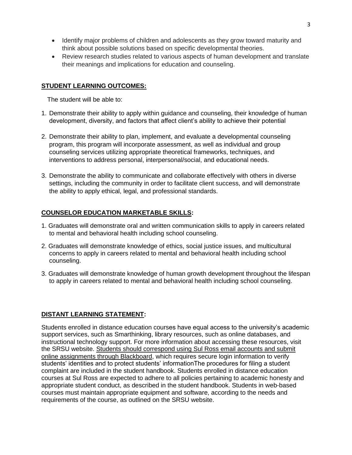- Identify major problems of children and adolescents as they grow toward maturity and think about possible solutions based on specific developmental theories.
- Review research studies related to various aspects of human development and translate their meanings and implications for education and counseling.

## **STUDENT LEARNING OUTCOMES:**

The student will be able to:

- 1. Demonstrate their ability to apply within guidance and counseling, their knowledge of human development, diversity, and factors that affect client's ability to achieve their potential
- 2. Demonstrate their ability to plan, implement, and evaluate a developmental counseling program, this program will incorporate assessment, as well as individual and group counseling services utilizing appropriate theoretical frameworks, techniques, and interventions to address personal, interpersonal/social, and educational needs.
- 3. Demonstrate the ability to communicate and collaborate effectively with others in diverse settings, including the community in order to facilitate client success, and will demonstrate the ability to apply ethical, legal, and professional standards.

## **COUNSELOR EDUCATION MARKETABLE SKILLS:**

- 1. Graduates will demonstrate oral and written communication skills to apply in careers related to mental and behavioral health including school counseling.
- 2. Graduates will demonstrate knowledge of ethics, social justice issues, and multicultural concerns to apply in careers related to mental and behavioral health including school counseling.
- 3. Graduates will demonstrate knowledge of human growth development throughout the lifespan to apply in careers related to mental and behavioral health including school counseling.

## **DISTANT LEARNING STATEMENT:**

Students enrolled in distance education courses have equal access to the university's academic support services, such as Smarthinking, library resources, such as online databases, and instructional technology support. For more information about accessing these resources, visit the SRSU website. Students should correspond using Sul Ross email accounts and submit online assignments through Blackboard, which requires secure login information to verify students' identities and to protect students' informationThe procedures for filing a student complaint are included in the student handbook. Students enrolled in distance education courses at Sul Ross are expected to adhere to all policies pertaining to academic honesty and appropriate student conduct, as described in the student handbook. Students in web-based courses must maintain appropriate equipment and software, according to the needs and requirements of the course, as outlined on the SRSU website.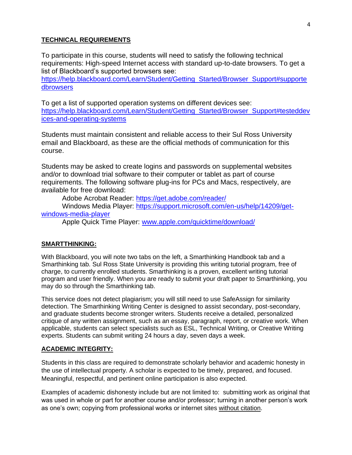## **TECHNICAL REQUIREMENTS**

To participate in this course, students will need to satisfy the following technical requirements: High-speed Internet access with standard up-to-date browsers. To get a list of Blackboard's supported browsers see:

[https://help.blackboard.com/Learn/Student/Getting\\_Started/Browser\\_Support#supporte](https://help.blackboard.com/Learn/Student/Getting_Started/Browser_Support%23supportedbrowsers) [dbrowsers](https://help.blackboard.com/Learn/Student/Getting_Started/Browser_Support%23supportedbrowsers)

To get a list of supported operation systems on different devices see: [https://help.blackboard.com/Learn/Student/Getting\\_Started/Browser\\_Support#testeddev](https://help.blackboard.com/Learn/Student/Getting_Started/Browser_Support%23testeddevices-and-operating-systems) [ices-and-operating-systems](https://help.blackboard.com/Learn/Student/Getting_Started/Browser_Support%23testeddevices-and-operating-systems)

Students must maintain consistent and reliable access to their Sul Ross University email and Blackboard, as these are the official methods of communication for this course.

Students may be asked to create logins and passwords on supplemental websites and/or to download trial software to their computer or tablet as part of course requirements. The following software plug-ins for PCs and Macs, respectively, are available for free download:

Adobe Acrobat Reader:<https://get.adobe.com/reader/>

Windows Media Player: [https://support.microsoft.com/en-us/help/14209/get](https://support.microsoft.com/en-us/help/14209/get-windows-media-player)[windows-media-player](https://support.microsoft.com/en-us/help/14209/get-windows-media-player)

Apple Quick Time Player: [www.apple.com/quicktime/download/](file:///C:/Users/lisa.sousa/AppData/Roaming/Microsoft/Word/www.apple.com/quicktime/download/)

### **SMARTTHINKING:**

With Blackboard, you will note two tabs on the left, a Smarthinking Handbook tab and a Smarthinking tab. Sul Ross State University is providing this writing tutorial program, free of charge, to currently enrolled students. Smarthinking is a proven, excellent writing tutorial program and user friendly. When you are ready to submit your draft paper to Smarthinking, you may do so through the Smarthinking tab.

This service does not detect plagiarism; you will still need to use SafeAssign for similarity detection. The Smarthinking Writing Center is designed to assist secondary, post-secondary, and graduate students become stronger writers. Students receive a detailed, personalized critique of any written assignment, such as an essay, paragraph, report, or creative work. When applicable, students can select specialists such as ESL, Technical Writing, or Creative Writing experts. Students can submit writing 24 hours a day, seven days a week.

### **ACADEMIC INTEGRITY:**

Students in this class are required to demonstrate scholarly behavior and academic honesty in the use of intellectual property. A scholar is expected to be timely, prepared, and focused. Meaningful, respectful, and pertinent online participation is also expected.

Examples of academic dishonesty include but are not limited to: submitting work as original that was used in whole or part for another course and/or professor; turning in another person's work as one's own; copying from professional works or internet sites without citation.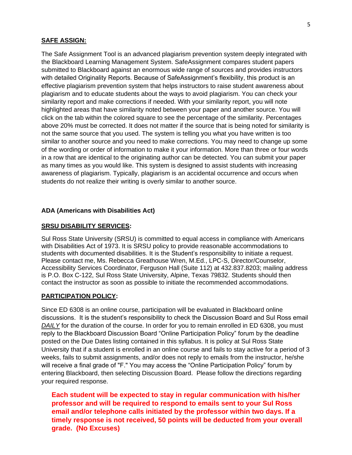### **SAFE ASSIGN:**

The Safe Assignment Tool is an advanced plagiarism prevention system deeply integrated with the Blackboard Learning Management System. SafeAssignment compares student papers submitted to Blackboard against an enormous wide range of sources and provides instructors with detailed Originality Reports. Because of SafeAssignment's flexibility, this product is an effective plagiarism prevention system that helps instructors to raise student awareness about plagiarism and to educate students about the ways to avoid plagiarism. You can check your similarity report and make corrections if needed. With your similarity report, you will note highlighted areas that have similarity noted between your paper and another source. You will click on the tab within the colored square to see the percentage of the similarity. Percentages above 20% must be corrected. It does not matter if the source that is being noted for similarity is not the same source that you used. The system is telling you what you have written is too similar to another source and you need to make corrections. You may need to change up some of the wording or order of information to make it your information. More than three or four words in a row that are identical to the originating author can be detected. You can submit your paper as many times as you would like. This system is designed to assist students with increasing awareness of plagiarism. Typically, plagiarism is an accidental occurrence and occurs when students do not realize their writing is overly similar to another source.

#### **ADA (Americans with Disabilities Act)**

#### **SRSU DISABILITY SERVICES:**

Sul Ross State University (SRSU) is committed to equal access in compliance with Americans with Disabilities Act of 1973. It is SRSU policy to provide reasonable accommodations to students with documented disabilities. It is the Student's responsibility to initiate a request. Please contact me, Ms. Rebecca Greathouse Wren, M.Ed., LPC-S, Director/Counselor, Accessibility Services Coordinator, Ferguson Hall (Suite 112) at 432.837.8203; mailing address is P.O. Box C-122, Sul Ross State University, Alpine, Texas 79832. Students should then contact the instructor as soon as possible to initiate the recommended accommodations.

#### **PARTICIPATION POLICY:**

Since ED 6308 is an online course, participation will be evaluated in Blackboard online discussions. It is the student's responsibility to check the Discussion Board and Sul Ross email *DAILY* for the duration of the course. In order for you to remain enrolled in ED 6308, you must reply to the Blackboard Discussion Board "Online Participation Policy" forum by the deadline posted on the Due Dates listing contained in this syllabus. It is policy at Sul Ross State University that if a student is enrolled in an online course and fails to stay active for a period of 3 weeks, fails to submit assignments, and/or does not reply to emails from the instructor, he/she will receive a final grade of "F." You may access the "Online Participation Policy" forum by entering Blackboard, then selecting Discussion Board. Please follow the directions regarding your required response.

**Each student will be expected to stay in regular communication with his/her professor and will be required to respond to emails sent to your Sul Ross email and/or telephone calls initiated by the professor within two days. If a timely response is not received, 50 points will be deducted from your overall grade. (No Excuses)**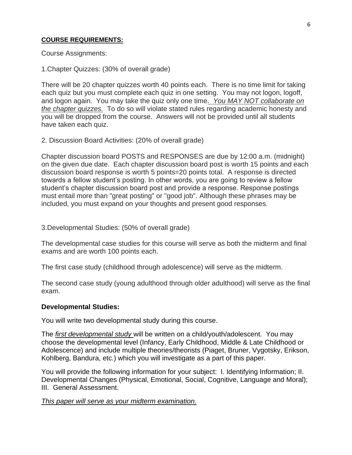# **COURSE REQUIREMENTS:**

Course Assignments:

1.Chapter Quizzes: (30% of overall grade)

There will be 20 chapter quizzes worth 40 points each. There is no time limit for taking each quiz but you must complete each quiz in one setting. You may not logon, logoff, and logon again. You may take the quiz only one time*. You MAY NOT collaborate on the chapter quizzes.* To do so will violate stated rules regarding academic honesty and you will be dropped from the course. Answers will not be provided until all students have taken each quiz.

## 2. Discussion Board Activities: (20% of overall grade)

Chapter discussion board POSTS and RESPONSES are due by 12:00 a.m. (midnight) on the given due date. Each chapter discussion board post is worth 15 points and each discussion board response is worth 5 points=20 points total. A response is directed towards a fellow student's posting. In other words, you are going to review a fellow student's chapter discussion board post and provide a response. Response postings must entail more than "great posting" or "good job". Although these phrases may be included, you must expand on your thoughts and present good responses.

3.Developmental Studies: (50% of overall grade)

The developmental case studies for this course will serve as both the midterm and final exams and are worth 100 points each.

The first case study (childhood through adolescence) will serve as the midterm.

The second case study (young adulthood through older adulthood) will serve as the final exam.

# **Developmental Studies:**

You will write two developmental study during this course.

The *first developmental study* will be written on a child/youth/adolescent. You may choose the developmental level (Infancy, Early Childhood, Middle & Late Childhood or Adolescence) and include multiple theories/theorists (Piaget, Bruner, Vygotsky, Erikson, Kohlberg, Bandura, etc.) which you will investigate as a part of this paper.

You will provide the following information for your subject: I. Identifying Information; II. Developmental Changes (Physical, Emotional, Social, Cognitive, Language and Moral); III. General Assessment.

*This paper will serve as your midterm examination.*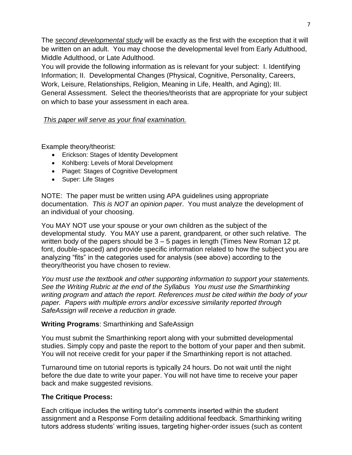The *second developmental study* will be exactly as the first with the exception that it will be written on an adult. You may choose the developmental level from Early Adulthood, Middle Adulthood, or Late Adulthood.

You will provide the following information as is relevant for your subject: I. Identifying Information; II. Developmental Changes (Physical, Cognitive, Personality, Careers, Work, Leisure, Relationships, Religion, Meaning in Life, Health, and Aging); III. General Assessment. Select the theories/theorists that are appropriate for your subject on which to base your assessment in each area.

# *This paper will serve as your final examination.*

Example theory/theorist:

- Erickson: Stages of Identity Development
- Kohlberg: Levels of Moral Development
- Piaget: Stages of Cognitive Development
- Super: Life Stages

NOTE: The paper must be written using APA guidelines using appropriate documentation. *This is NOT an opinion paper*. You must analyze the development of an individual of your choosing.

You MAY NOT use your spouse or your own children as the subject of the developmental study. You MAY use a parent, grandparent, or other such relative. The written body of the papers should be  $3 - 5$  pages in length (Times New Roman 12 pt. font, double-spaced) and provide specific information related to how the subject you are analyzing "fits" in the categories used for analysis (see above) according to the theory/theorist you have chosen to review.

*You must use the textbook and other supporting information to support your statements. See the Writing Rubric at the end of the Syllabus You must use the Smarthinking writing program and attach the report. References must be cited within the body of your paper. Papers with multiple errors and/or excessive similarity reported through SafeAssign will receive a reduction in grade.*

# **Writing Programs**: Smarthinking and SafeAssign

You must submit the Smarthinking report along with your submitted developmental studies. Simply copy and paste the report to the bottom of your paper and then submit. You will not receive credit for your paper if the Smarthinking report is not attached.

Turnaround time on tutorial reports is typically 24 hours. Do not wait until the night before the due date to write your paper. You will not have time to receive your paper back and make suggested revisions.

# **The Critique Process:**

Each critique includes the writing tutor's comments inserted within the student assignment and a Response Form detailing additional feedback. Smarthinking writing tutors address students' writing issues, targeting higher-order issues (such as content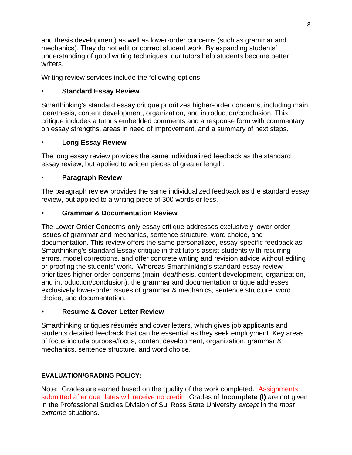and thesis development) as well as lower-order concerns (such as grammar and mechanics). They do not edit or correct student work. By expanding students' understanding of good writing techniques, our tutors help students become better writers.

Writing review services include the following options:

# • **Standard Essay Review**

Smarthinking's standard essay critique prioritizes higher-order concerns, including main idea/thesis, content development, organization, and introduction/conclusion. This critique includes a tutor's embedded comments and a response form with commentary on essay strengths, areas in need of improvement, and a summary of next steps.

# • **Long Essay Review**

The long essay review provides the same individualized feedback as the standard essay review, but applied to written pieces of greater length.

# • **Paragraph Review**

The paragraph review provides the same individualized feedback as the standard essay review, but applied to a writing piece of 300 words or less.

# **• Grammar & Documentation Review**

The Lower-Order Concerns-only essay critique addresses exclusively lower-order issues of grammar and mechanics, sentence structure, word choice, and documentation. This review offers the same personalized, essay-specific feedback as Smarthinking's standard Essay critique in that tutors assist students with recurring errors, model corrections, and offer concrete writing and revision advice without editing or proofing the students' work. Whereas Smarthinking's standard essay review prioritizes higher-order concerns (main idea/thesis, content development, organization, and introduction/conclusion), the grammar and documentation critique addresses exclusively lower-order issues of grammar & mechanics, sentence structure, word choice, and documentation.

# **• Resume & Cover Letter Review**

Smarthinking critiques résumés and cover letters, which gives job applicants and students detailed feedback that can be essential as they seek employment. Key areas of focus include purpose/focus, content development, organization, grammar & mechanics, sentence structure, and word choice.

# **EVALUATION/GRADING POLICY:**

Note: Grades are earned based on the quality of the work completed. Assignments submitted after due dates will receive no credit. Grades of **Incomplete (I)** are not given in the Professional Studies Division of Sul Ross State University *except* in the *most extreme* situations.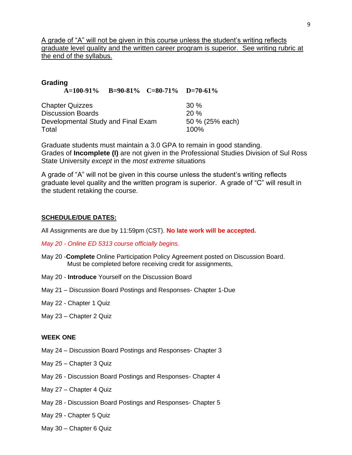A grade of "A" will not be given in this course unless the student's writing reflects graduate level quality and the written career program is superior. See writing rubric at the end of the syllabus.

| Grading                            |                                      |  |        |  |
|------------------------------------|--------------------------------------|--|--------|--|
|                                    | A=100-91% B=90-81% C=80-71% D=70-61% |  |        |  |
| <b>Chapter Quizzes</b>             |                                      |  | $30\%$ |  |
| <b>Discussion Boards</b>           | 20%                                  |  |        |  |
| Developmental Study and Final Exam | 50 % (25% each)                      |  |        |  |
| Total                              |                                      |  | 100%   |  |

Graduate students must maintain a 3.0 GPA to remain in good standing. Grades of **Incomplete (I)** are not given in the Professional Studies Division of Sul Ross State University *except* in the *most extreme* situations

A grade of "A" will not be given in this course unless the student's writing reflects graduate level quality and the written program is superior. A grade of "C" will result in the student retaking the course.

### **SCHEDULE/DUE DATES:**

All Assignments are due by 11:59pm (CST). **No late work will be accepted.** 

*May 20 - Online ED 5313 course officially begins.* 

- May 20 -**Complete** Online Participation Policy Agreement posted on Discussion Board. Must be completed before receiving credit for assignments,
- May 20 **Introduce** Yourself on the Discussion Board
- May 21 Discussion Board Postings and Responses- Chapter 1-Due
- May 22 Chapter 1 Quiz
- May 23 Chapter 2 Quiz

### **WEEK ONE**

- May 24 Discussion Board Postings and Responses- Chapter 3
- May 25 Chapter 3 Quiz
- May 26 Discussion Board Postings and Responses- Chapter 4
- May 27 Chapter 4 Quiz
- May 28 Discussion Board Postings and Responses- Chapter 5
- May 29 Chapter 5 Quiz
- May 30 Chapter 6 Quiz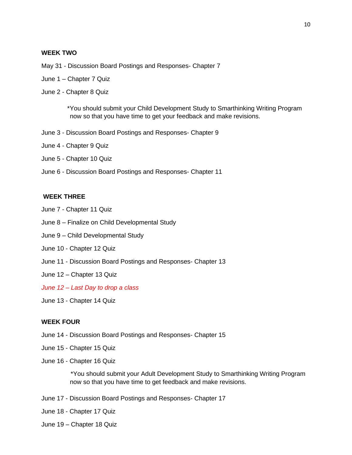### **WEEK TWO**

- May 31 Discussion Board Postings and Responses- Chapter 7
- June 1 Chapter 7 Quiz
- June 2 Chapter 8 Quiz

\*You should submit your Child Development Study to Smarthinking Writing Program now so that you have time to get your feedback and make revisions.

- June 3 Discussion Board Postings and Responses- Chapter 9
- June 4 Chapter 9 Quiz
- June 5 Chapter 10 Quiz
- June 6 Discussion Board Postings and Responses- Chapter 11

### **WEEK THREE**

- June 7 Chapter 11 Quiz
- June 8 Finalize on Child Developmental Study
- June 9 Child Developmental Study
- June 10 Chapter 12 Quiz
- June 11 Discussion Board Postings and Responses- Chapter 13
- June 12 Chapter 13 Quiz
- *June 12 – Last Day to drop a class*
- June 13 Chapter 14 Quiz

#### **WEEK FOUR**

- June 14 Discussion Board Postings and Responses- Chapter 15
- June 15 Chapter 15 Quiz
- June 16 Chapter 16 Quiz

\*You should submit your Adult Development Study to Smarthinking Writing Program now so that you have time to get feedback and make revisions.

- June 17 Discussion Board Postings and Responses- Chapter 17
- June 18 Chapter 17 Quiz
- June 19 Chapter 18 Quiz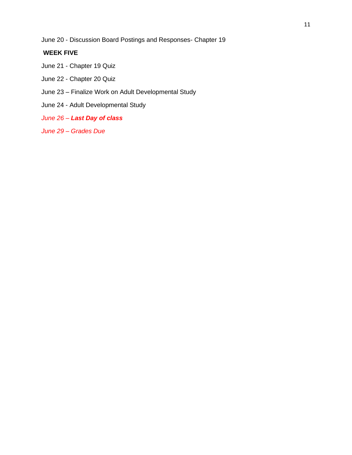June 20 - Discussion Board Postings and Responses- Chapter 19

# **WEEK FIVE**

- June 21 Chapter 19 Quiz
- June 22 Chapter 20 Quiz
- June 23 Finalize Work on Adult Developmental Study
- June 24 Adult Developmental Study
- *June 26 – Last Day of class*
- *June 29 – Grades Due*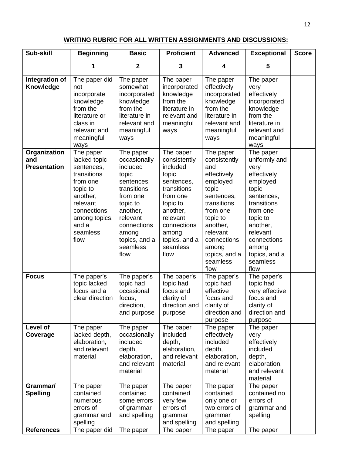## **WRITING RUBRIC FOR ALL WRITTEN ASSIGNMENTS AND DISCUSSIONS:**

| Integration of<br>Knowledge<br>not                                      | 1<br>The paper did<br>incorporate<br>knowledge<br>from the                                                                             | $\mathbf 2$<br>The paper<br>somewhat<br>incorporated                                                                                                                                     | 3<br>The paper<br>incorporated                                                                                                                                                           | 4<br>The paper                                                                                                                                                                                                 | 5                                                                                                                                                                                                                |  |
|-------------------------------------------------------------------------|----------------------------------------------------------------------------------------------------------------------------------------|------------------------------------------------------------------------------------------------------------------------------------------------------------------------------------------|------------------------------------------------------------------------------------------------------------------------------------------------------------------------------------------|----------------------------------------------------------------------------------------------------------------------------------------------------------------------------------------------------------------|------------------------------------------------------------------------------------------------------------------------------------------------------------------------------------------------------------------|--|
|                                                                         |                                                                                                                                        |                                                                                                                                                                                          |                                                                                                                                                                                          |                                                                                                                                                                                                                |                                                                                                                                                                                                                  |  |
| ways                                                                    | literature or<br>class in<br>relevant and<br>meaningful                                                                                | knowledge<br>from the<br>literature in<br>relevant and<br>meaningful<br>ways                                                                                                             | knowledge<br>from the<br>literature in<br>relevant and<br>meaningful<br>ways                                                                                                             | effectively<br>incorporated<br>knowledge<br>from the<br>literature in<br>relevant and<br>meaningful<br>ways                                                                                                    | The paper<br>very<br>effectively<br>incorporated<br>knowledge<br>from the<br>literature in<br>relevant and<br>meaningful<br>ways                                                                                 |  |
| Organization<br>and<br><b>Presentation</b><br>topic to<br>and a<br>flow | The paper<br>lacked topic<br>sentences,<br>transitions<br>from one<br>another,<br>relevant<br>connections<br>among topics,<br>seamless | The paper<br>occasionally<br>included<br>topic<br>sentences,<br>transitions<br>from one<br>topic to<br>another,<br>relevant<br>connections<br>among<br>topics, and a<br>seamless<br>flow | The paper<br>consistently<br>included<br>topic<br>sentences,<br>transitions<br>from one<br>topic to<br>another,<br>relevant<br>connections<br>among<br>topics, and a<br>seamless<br>flow | The paper<br>consistently<br>and<br>effectively<br>employed<br>topic<br>sentences,<br>transitions<br>from one<br>topic to<br>another,<br>relevant<br>connections<br>among<br>topics, and a<br>seamless<br>flow | The paper<br>uniformly and<br>very<br>effectively<br>employed<br>topic<br>sentences,<br>transitions<br>from one<br>topic to<br>another,<br>relevant<br>connections<br>among<br>topics, and a<br>seamless<br>flow |  |
| <b>Focus</b>                                                            | The paper's<br>topic lacked<br>focus and a<br>clear direction                                                                          | The paper's<br>topic had<br>occasional<br>focus,<br>direction,<br>and purpose                                                                                                            | The paper's<br>topic had<br>focus and<br>clarity of<br>direction and<br>purpose                                                                                                          | The paper's<br>topic had<br>effective<br>focus and<br>clarity of<br>direction and<br>purpose                                                                                                                   | The paper's<br>topic had<br>very effective<br>focus and<br>clarity of<br>direction and<br>purpose                                                                                                                |  |
| Level of<br>Coverage                                                    | The paper<br>lacked depth,<br>elaboration,<br>and relevant<br>material                                                                 | The paper<br>occasionally<br>included<br>depth,<br>elaboration,<br>and relevant<br>material                                                                                              | The paper<br>included<br>depth,<br>elaboration,<br>and relevant<br>material                                                                                                              | The paper<br>effectively<br>included<br>depth,<br>elaboration,<br>and relevant<br>material                                                                                                                     | The paper<br>very<br>effectively<br>included<br>depth,<br>elaboration,<br>and relevant<br>material                                                                                                               |  |
| Grammar/<br><b>Spelling</b><br><b>References</b>                        | The paper<br>contained<br>numerous<br>errors of<br>grammar and<br>spelling<br>The paper did                                            | The paper<br>contained<br>some errors<br>of grammar<br>and spelling<br>The paper                                                                                                         | The paper<br>contained<br>very few<br>errors of<br>grammar<br>and spelling<br>The paper                                                                                                  | The paper<br>contained<br>only one or<br>two errors of<br>grammar<br>and spelling<br>The paper                                                                                                                 | The paper<br>contained no<br>errors of<br>grammar and<br>spelling<br>The paper                                                                                                                                   |  |